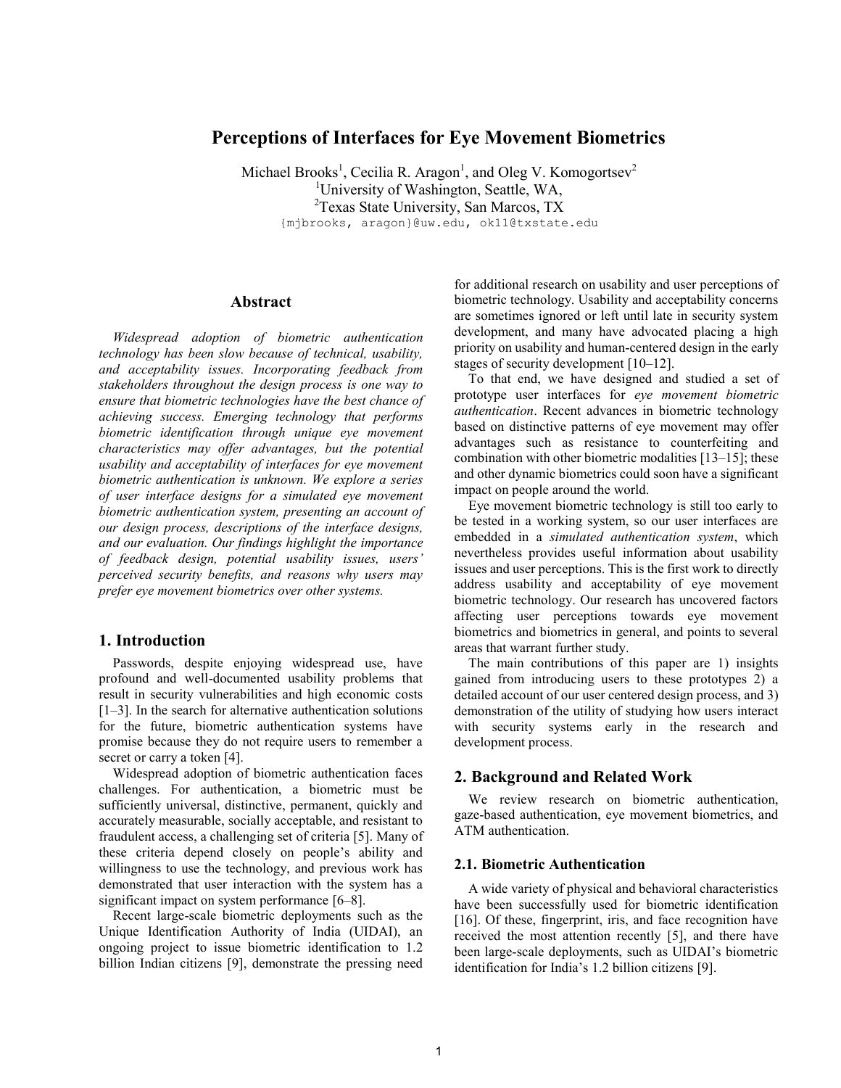# **Perceptions of Interfaces for Eye Movement Biometrics**

Michael Brooks<sup>1</sup>, Cecilia R. Aragon<sup>1</sup>, and Oleg V. Komogortsev<sup>2</sup> <sup>1</sup>University of Washington, Seattle, WA, <sup>2</sup>Texas State University, San Marcos, TX {mjbrooks, aragon}@uw.edu, ok11@txstate.edu

# **Abstract**

*Widespread adoption of biometric authentication technology has been slow because of technical, usability, and acceptability issues. Incorporating feedback from stakeholders throughout the design process is one way to ensure that biometric technologies have the best chance of achieving success. Emerging technology that performs biometric identification through unique eye movement characteristics may offer advantages, but the potential usability and acceptability of interfaces for eye movement biometric authentication is unknown. We explore a series of user interface designs for a simulated eye movement biometric authentication system, presenting an account of our design process, descriptions of the interface designs, and our evaluation. Our findings highlight the importance of feedback design, potential usability issues, users' perceived security benefits, and reasons why users may prefer eye movement biometrics over other systems.*

### **1. Introduction**

Passwords, despite enjoying widespread use, have profound and well-documented usability problems that result in security vulnerabilities and high economic costs [1–3]. In the search for alternative authentication solutions for the future, biometric authentication systems have promise because they do not require users to remember a secret or carry a token [4].

Widespread adoption of biometric authentication faces challenges. For authentication, a biometric must be sufficiently universal, distinctive, permanent, quickly and accurately measurable, socially acceptable, and resistant to fraudulent access, a challenging set of criteria [5]. Many of these criteria depend closely on people's ability and willingness to use the technology, and previous work has demonstrated that user interaction with the system has a significant impact on system performance [6–8].

Recent large-scale biometric deployments such as the Unique Identification Authority of India (UIDAI), an ongoing project to issue biometric identification to 1.2 billion Indian citizens [9], demonstrate the pressing need for additional research on usability and user perceptions of biometric technology. Usability and acceptability concerns are sometimes ignored or left until late in security system development, and many have advocated placing a high priority on usability and human-centered design in the early stages of security development [10–12].

To that end, we have designed and studied a set of prototype user interfaces for *eye movement biometric authentication*. Recent advances in biometric technology based on distinctive patterns of eye movement may offer advantages such as resistance to counterfeiting and combination with other biometric modalities [13–15]; these and other dynamic biometrics could soon have a significant impact on people around the world.

Eye movement biometric technology is still too early to be tested in a working system, so our user interfaces are embedded in a *simulated authentication system*, which nevertheless provides useful information about usability issues and user perceptions. This is the first work to directly address usability and acceptability of eye movement biometric technology. Our research has uncovered factors affecting user perceptions towards eye movement biometrics and biometrics in general, and points to several areas that warrant further study.

The main contributions of this paper are 1) insights gained from introducing users to these prototypes 2) a detailed account of our user centered design process, and 3) demonstration of the utility of studying how users interact with security systems early in the research and development process.

### **2. Background and Related Work**

We review research on biometric authentication, gaze-based authentication, eye movement biometrics, and ATM authentication.

### **2.1. Biometric Authentication**

A wide variety of physical and behavioral characteristics have been successfully used for biometric identification [16]. Of these, fingerprint, iris, and face recognition have received the most attention recently [5], and there have been large-scale deployments, such as UIDAI's biometric identification for India's 1.2 billion citizens [9].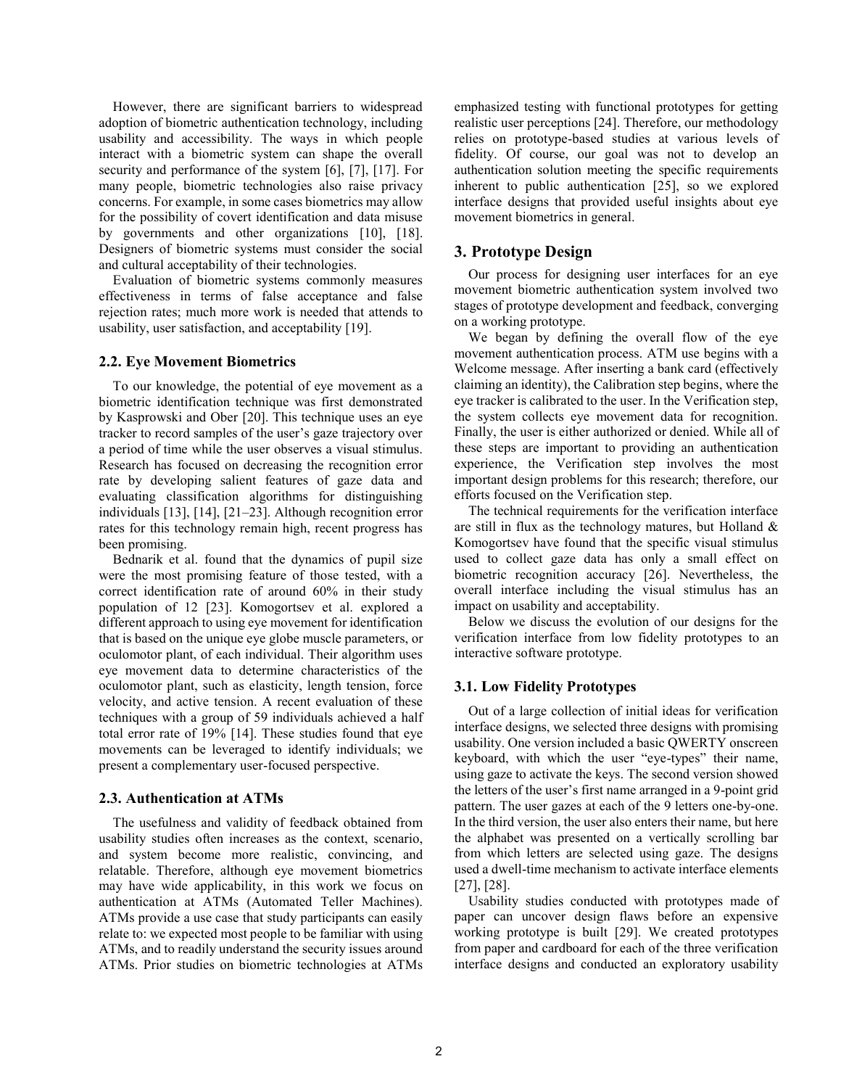However, there are significant barriers to widespread adoption of biometric authentication technology, including usability and accessibility. The ways in which people interact with a biometric system can shape the overall security and performance of the system [6], [7], [17]. For many people, biometric technologies also raise privacy concerns. For example, in some cases biometrics may allow for the possibility of covert identification and data misuse by governments and other organizations [10], [18]. Designers of biometric systems must consider the social and cultural acceptability of their technologies.

Evaluation of biometric systems commonly measures effectiveness in terms of false acceptance and false rejection rates; much more work is needed that attends to usability, user satisfaction, and acceptability [19].

### **2.2. Eye Movement Biometrics**

To our knowledge, the potential of eye movement as a biometric identification technique was first demonstrated by Kasprowski and Ober [20]. This technique uses an eye tracker to record samples of the user's gaze trajectory over a period of time while the user observes a visual stimulus. Research has focused on decreasing the recognition error rate by developing salient features of gaze data and evaluating classification algorithms for distinguishing individuals [13], [14], [21–23]. Although recognition error rates for this technology remain high, recent progress has been promising.

Bednarik et al. found that the dynamics of pupil size were the most promising feature of those tested, with a correct identification rate of around 60% in their study population of 12 [23]. Komogortsev et al. explored a different approach to using eye movement for identification that is based on the unique eye globe muscle parameters, or oculomotor plant, of each individual. Their algorithm uses eye movement data to determine characteristics of the oculomotor plant, such as elasticity, length tension, force velocity, and active tension. A recent evaluation of these techniques with a group of 59 individuals achieved a half total error rate of 19% [14]. These studies found that eye movements can be leveraged to identify individuals; we present a complementary user-focused perspective.

# **2.3. Authentication at ATMs**

The usefulness and validity of feedback obtained from usability studies often increases as the context, scenario, and system become more realistic, convincing, and relatable. Therefore, although eye movement biometrics may have wide applicability, in this work we focus on authentication at ATMs (Automated Teller Machines). ATMs provide a use case that study participants can easily relate to: we expected most people to be familiar with using ATMs, and to readily understand the security issues around ATMs. Prior studies on biometric technologies at ATMs emphasized testing with functional prototypes for getting realistic user perceptions [24]. Therefore, our methodology relies on prototype-based studies at various levels of fidelity. Of course, our goal was not to develop an authentication solution meeting the specific requirements inherent to public authentication [25], so we explored interface designs that provided useful insights about eye movement biometrics in general.

# **3. Prototype Design**

Our process for designing user interfaces for an eye movement biometric authentication system involved two stages of prototype development and feedback, converging on a working prototype.

We began by defining the overall flow of the eye movement authentication process. ATM use begins with a Welcome message. After inserting a bank card (effectively claiming an identity), the Calibration step begins, where the eye tracker is calibrated to the user. In the Verification step, the system collects eye movement data for recognition. Finally, the user is either authorized or denied. While all of these steps are important to providing an authentication experience, the Verification step involves the most important design problems for this research; therefore, our efforts focused on the Verification step.

The technical requirements for the verification interface are still in flux as the technology matures, but Holland  $\&$ Komogortsev have found that the specific visual stimulus used to collect gaze data has only a small effect on biometric recognition accuracy [26]. Nevertheless, the overall interface including the visual stimulus has an impact on usability and acceptability.

Below we discuss the evolution of our designs for the verification interface from low fidelity prototypes to an interactive software prototype.

# **3.1. Low Fidelity Prototypes**

Out of a large collection of initial ideas for verification interface designs, we selected three designs with promising usability. One version included a basic QWERTY onscreen keyboard, with which the user "eye-types" their name, using gaze to activate the keys. The second version showed the letters of the user's first name arranged in a 9-point grid pattern. The user gazes at each of the 9 letters one-by-one. In the third version, the user also enters their name, but here the alphabet was presented on a vertically scrolling bar from which letters are selected using gaze. The designs used a dwell-time mechanism to activate interface elements [27], [28].

Usability studies conducted with prototypes made of paper can uncover design flaws before an expensive working prototype is built [29]. We created prototypes from paper and cardboard for each of the three verification interface designs and conducted an exploratory usability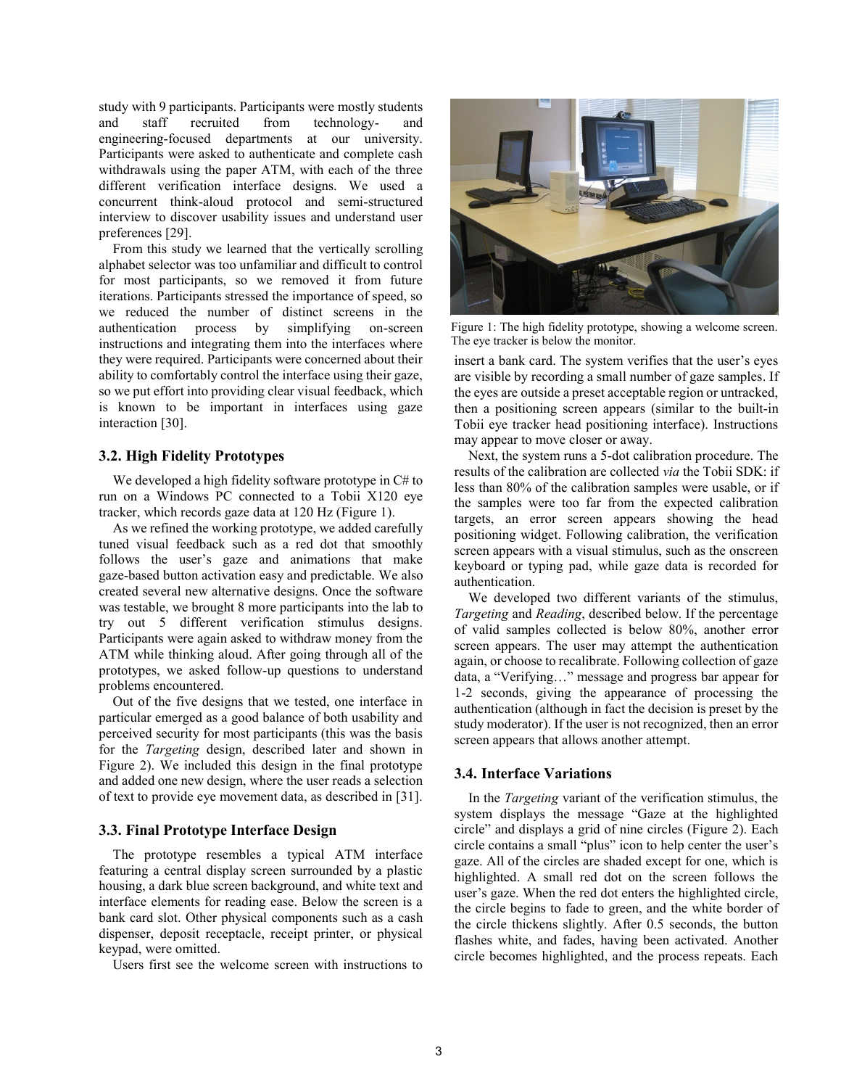study with 9 participants. Participants were mostly students and staff recruited from technology- and engineering-focused departments at our university. Participants were asked to authenticate and complete cash withdrawals using the paper ATM, with each of the three different verification interface designs. We used a concurrent think-aloud protocol and semi-structured interview to discover usability issues and understand user preferences [29].

From this study we learned that the vertically scrolling alphabet selector was too unfamiliar and difficult to control for most participants, so we removed it from future iterations. Participants stressed the importance of speed, so we reduced the number of distinct screens in the authentication process by simplifying on-screen instructions and integrating them into the interfaces where they were required. Participants were concerned about their ability to comfortably control the interface using their gaze, so we put effort into providing clear visual feedback, which is known to be important in interfaces using gaze interaction [30].

### **3.2. High Fidelity Prototypes**

We developed a high fidelity software prototype in C# to run on a Windows PC connected to a Tobii X120 eye tracker, which records gaze data at 120 Hz (Figure 1).

As we refined the working prototype, we added carefully tuned visual feedback such as a red dot that smoothly follows the user's gaze and animations that make gaze-based button activation easy and predictable. We also created several new alternative designs. Once the software was testable, we brought 8 more participants into the lab to try out 5 different verification stimulus designs. Participants were again asked to withdraw money from the ATM while thinking aloud. After going through all of the prototypes, we asked follow-up questions to understand problems encountered.

Out of the five designs that we tested, one interface in particular emerged as a good balance of both usability and perceived security for most participants (this was the basis for the *Targeting* design, described later and shown in Figure 2). We included this design in the final prototype and added one new design, where the user reads a selection of text to provide eye movement data, as described in [31].

# **3.3. Final Prototype Interface Design**

The prototype resembles a typical ATM interface featuring a central display screen surrounded by a plastic housing, a dark blue screen background, and white text and interface elements for reading ease. Below the screen is a bank card slot. Other physical components such as a cash dispenser, deposit receptacle, receipt printer, or physical keypad, were omitted.

Users first see the welcome screen with instructions to



Figure 1: The high fidelity prototype, showing a welcome screen. The eye tracker is below the monitor.

insert a bank card. The system verifies that the user's eyes are visible by recording a small number of gaze samples. If the eyes are outside a preset acceptable region or untracked, then a positioning screen appears (similar to the built-in Tobii eye tracker head positioning interface). Instructions may appear to move closer or away.

Next, the system runs a 5-dot calibration procedure. The results of the calibration are collected *via* the Tobii SDK: if less than 80% of the calibration samples were usable, or if the samples were too far from the expected calibration targets, an error screen appears showing the head positioning widget. Following calibration, the verification screen appears with a visual stimulus, such as the onscreen keyboard or typing pad, while gaze data is recorded for authentication.

We developed two different variants of the stimulus, *Targeting* and *Reading*, described below. If the percentage of valid samples collected is below 80%, another error screen appears. The user may attempt the authentication again, or choose to recalibrate. Following collection of gaze data, a "Verifying…" message and progress bar appear for 1-2 seconds, giving the appearance of processing the authentication (although in fact the decision is preset by the study moderator). If the user is not recognized, then an error screen appears that allows another attempt.

### **3.4. Interface Variations**

In the *Targeting* variant of the verification stimulus, the system displays the message "Gaze at the highlighted circle" and displays a grid of nine circles (Figure 2). Each circle contains a small "plus" icon to help center the user's gaze. All of the circles are shaded except for one, which is highlighted. A small red dot on the screen follows the user's gaze. When the red dot enters the highlighted circle, the circle begins to fade to green, and the white border of the circle thickens slightly. After 0.5 seconds, the button flashes white, and fades, having been activated. Another circle becomes highlighted, and the process repeats. Each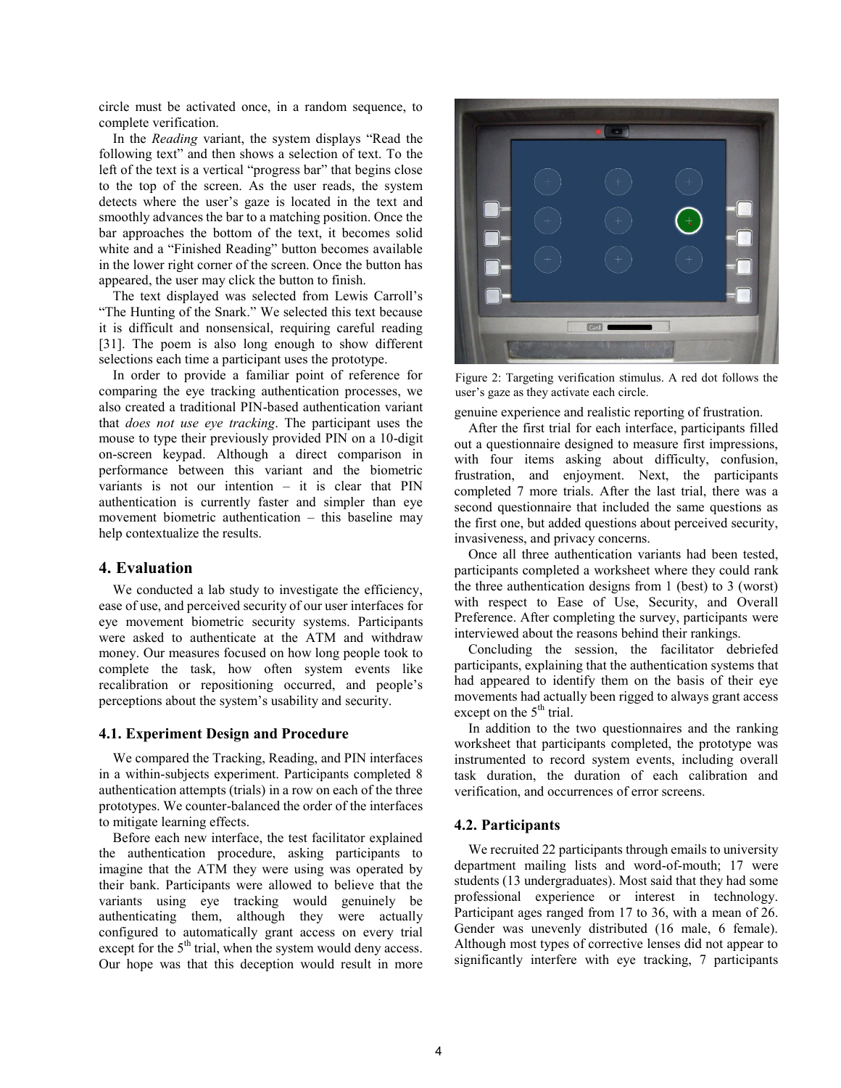circle must be activated once, in a random sequence, to complete verification.

In the *Reading* variant, the system displays "Read the following text" and then shows a selection of text. To the left of the text is a vertical "progress bar" that begins close to the top of the screen. As the user reads, the system detects where the user's gaze is located in the text and smoothly advances the bar to a matching position. Once the bar approaches the bottom of the text, it becomes solid white and a "Finished Reading" button becomes available in the lower right corner of the screen. Once the button has appeared, the user may click the button to finish.

The text displayed was selected from Lewis Carroll's "The Hunting of the Snark." We selected this text because it is difficult and nonsensical, requiring careful reading [31]. The poem is also long enough to show different selections each time a participant uses the prototype.

In order to provide a familiar point of reference for comparing the eye tracking authentication processes, we also created a traditional PIN-based authentication variant that *does not use eye tracking*. The participant uses the mouse to type their previously provided PIN on a 10-digit on-screen keypad. Although a direct comparison in performance between this variant and the biometric variants is not our intention – it is clear that PIN authentication is currently faster and simpler than eye movement biometric authentication – this baseline may help contextualize the results.

# **4. Evaluation**

We conducted a lab study to investigate the efficiency, ease of use, and perceived security of our user interfaces for eye movement biometric security systems. Participants were asked to authenticate at the ATM and withdraw money. Our measures focused on how long people took to complete the task, how often system events like recalibration or repositioning occurred, and people's perceptions about the system's usability and security.

### **4.1. Experiment Design and Procedure**

We compared the Tracking, Reading, and PIN interfaces in a within-subjects experiment. Participants completed 8 authentication attempts (trials) in a row on each of the three prototypes. We counter-balanced the order of the interfaces to mitigate learning effects.

Before each new interface, the test facilitator explained the authentication procedure, asking participants to imagine that the ATM they were using was operated by their bank. Participants were allowed to believe that the variants using eye tracking would genuinely be authenticating them, although they were actually configured to automatically grant access on every trial except for the  $5<sup>th</sup>$  trial, when the system would deny access. Our hope was that this deception would result in more



Figure 2: Targeting verification stimulus. A red dot follows the user's gaze as they activate each circle.

genuine experience and realistic reporting of frustration.

After the first trial for each interface, participants filled out a questionnaire designed to measure first impressions, with four items asking about difficulty, confusion, frustration, and enjoyment. Next, the participants completed 7 more trials. After the last trial, there was a second questionnaire that included the same questions as the first one, but added questions about perceived security, invasiveness, and privacy concerns.

Once all three authentication variants had been tested, participants completed a worksheet where they could rank the three authentication designs from 1 (best) to 3 (worst) with respect to Ease of Use, Security, and Overall Preference. After completing the survey, participants were interviewed about the reasons behind their rankings.

Concluding the session, the facilitator debriefed participants, explaining that the authentication systems that had appeared to identify them on the basis of their eye movements had actually been rigged to always grant access except on the  $5<sup>th</sup>$  trial.

In addition to the two questionnaires and the ranking worksheet that participants completed, the prototype was instrumented to record system events, including overall task duration, the duration of each calibration and verification, and occurrences of error screens.

### **4.2. Participants**

We recruited 22 participants through emails to university department mailing lists and word-of-mouth; 17 were students (13 undergraduates). Most said that they had some professional experience or interest in technology. Participant ages ranged from 17 to 36, with a mean of 26. Gender was unevenly distributed (16 male, 6 female). Although most types of corrective lenses did not appear to significantly interfere with eye tracking, 7 participants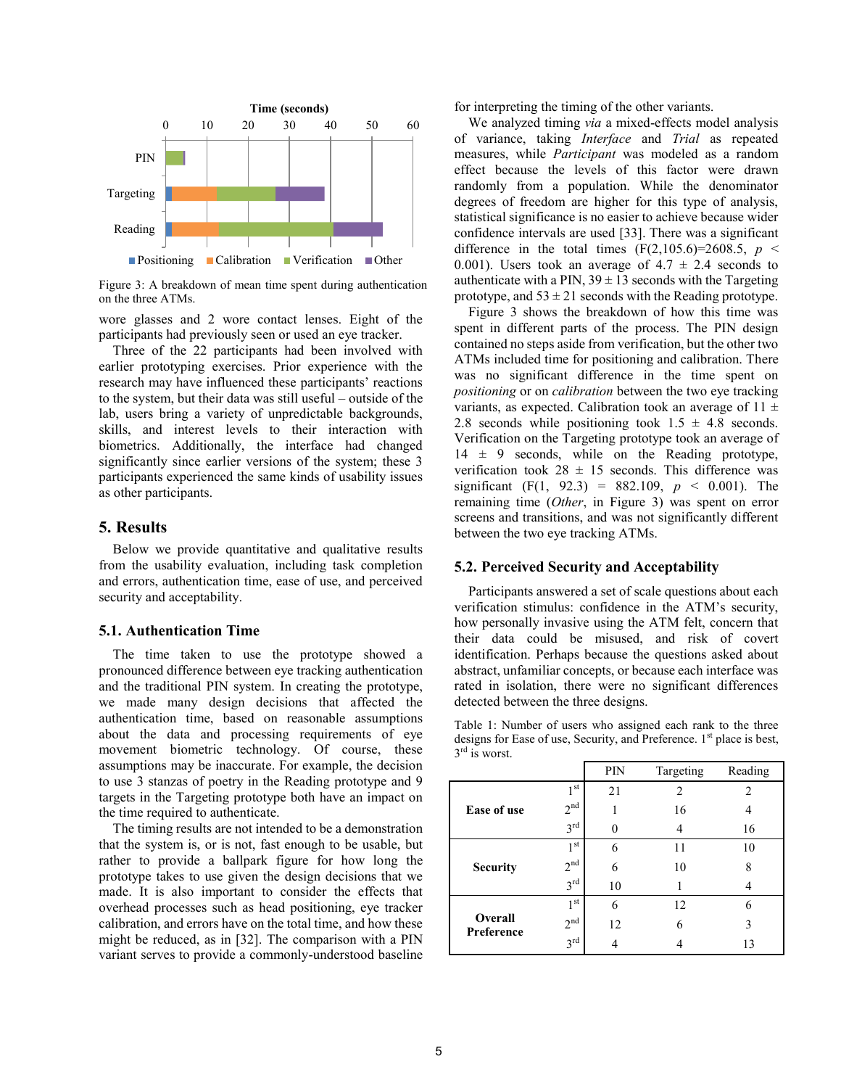

Figure 3: A breakdown of mean time spent during authentication on the three ATMs.

wore glasses and 2 wore contact lenses. Eight of the participants had previously seen or used an eye tracker.

Three of the 22 participants had been involved with earlier prototyping exercises. Prior experience with the research may have influenced these participants' reactions to the system, but their data was still useful – outside of the lab, users bring a variety of unpredictable backgrounds, skills, and interest levels to their interaction with biometrics. Additionally, the interface had changed significantly since earlier versions of the system; these 3 participants experienced the same kinds of usability issues as other participants.

### **5. Results**

Below we provide quantitative and qualitative results from the usability evaluation, including task completion and errors, authentication time, ease of use, and perceived security and acceptability.

#### **5.1. Authentication Time**

The time taken to use the prototype showed a pronounced difference between eye tracking authentication and the traditional PIN system. In creating the prototype, we made many design decisions that affected the authentication time, based on reasonable assumptions about the data and processing requirements of eye movement biometric technology. Of course, these assumptions may be inaccurate. For example, the decision to use 3 stanzas of poetry in the Reading prototype and 9 targets in the Targeting prototype both have an impact on the time required to authenticate.

The timing results are not intended to be a demonstration that the system is, or is not, fast enough to be usable, but rather to provide a ballpark figure for how long the prototype takes to use given the design decisions that we made. It is also important to consider the effects that overhead processes such as head positioning, eye tracker calibration, and errors have on the total time, and how these might be reduced, as in [32]. The comparison with a PIN variant serves to provide a commonly-understood baseline for interpreting the timing of the other variants.

We analyzed timing *via* a mixed-effects model analysis of variance, taking *Interface* and *Trial* as repeated measures, while *Participant* was modeled as a random effect because the levels of this factor were drawn randomly from a population. While the denominator degrees of freedom are higher for this type of analysis, statistical significance is no easier to achieve because wider confidence intervals are used [33]. There was a significant difference in the total times  $(F(2,105.6)=2608.5, p <$ 0.001). Users took an average of  $4.7 \pm 2.4$  seconds to authenticate with a PIN,  $39 \pm 13$  seconds with the Targeting prototype, and  $53 \pm 21$  seconds with the Reading prototype.

Figure 3 shows the breakdown of how this time was spent in different parts of the process. The PIN design contained no steps aside from verification, but the other two ATMs included time for positioning and calibration. There was no significant difference in the time spent on *positioning* or on *calibration* between the two eye tracking variants, as expected. Calibration took an average of  $11 \pm$ 2.8 seconds while positioning took  $1.5 \pm 4.8$  seconds. Verification on the Targeting prototype took an average of  $14 \pm 9$  seconds, while on the Reading prototype, verification took  $28 \pm 15$  seconds. This difference was significant (F(1, 92.3) = 882.109,  $p \le 0.001$ ). The remaining time (*Other*, in Figure 3) was spent on error screens and transitions, and was not significantly different between the two eye tracking ATMs.

#### **5.2. Perceived Security and Acceptability**

Participants answered a set of scale questions about each verification stimulus: confidence in the ATM's security, how personally invasive using the ATM felt, concern that their data could be misused, and risk of covert identification. Perhaps because the questions asked about abstract, unfamiliar concepts, or because each interface was rated in isolation, there were no significant differences detected between the three designs.

<span id="page-4-0"></span>Table 1: Number of users who assigned each rank to the three designs for Ease of use, Security, and Preference. 1<sup>st</sup> place is best,  $3<sup>rd</sup>$  is worst.

|                       |                 | PIN | Targeting      | Reading        |
|-----------------------|-----------------|-----|----------------|----------------|
|                       | 1 <sup>st</sup> | 21  | $\mathfrak{D}$ | $\mathfrak{D}$ |
| <b>Ease of use</b>    | 2 <sub>nd</sub> |     | 16             |                |
|                       | 3 <sup>rd</sup> |     |                | 16             |
| <b>Security</b>       | 1 <sup>st</sup> | 6   | 11             | 10             |
|                       | 2 <sup>nd</sup> | 6   | 10             | 8              |
|                       | 3 <sup>rd</sup> | 10  |                |                |
| Overall<br>Preference | 1 <sup>st</sup> | 6   | 12             | 6              |
|                       | 2 <sup>nd</sup> | 12  | 6              |                |
|                       | $3^{\text{rd}}$ |     |                | 13             |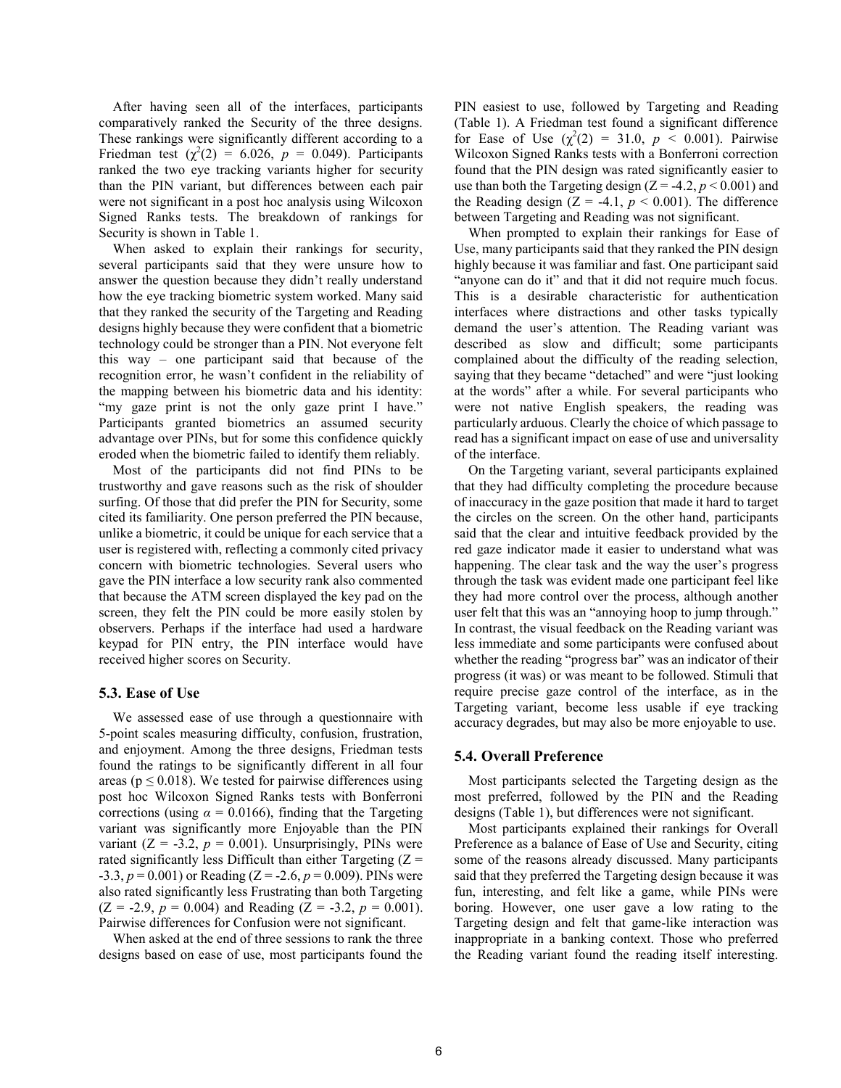After having seen all of the interfaces, participants comparatively ranked the Security of the three designs. These rankings were significantly different according to a Friedman test  $(\chi^2(2) = 6.026, p = 0.049)$ . Participants ranked the two eye tracking variants higher for security than the PIN variant, but differences between each pair were not significant in a post hoc analysis using Wilcoxon Signed Ranks tests. The breakdown of rankings for Security is shown in Table 1.

When asked to explain their rankings for security, several participants said that they were unsure how to answer the question because they didn't really understand how the eye tracking biometric system worked. Many said that they ranked the security of the Targeting and Reading designs highly because they were confident that a biometric technology could be stronger than a PIN. Not everyone felt this way – one participant said that because of the recognition error, he wasn't confident in the reliability of the mapping between his biometric data and his identity: "my gaze print is not the only gaze print I have." Participants granted biometrics an assumed security advantage over PINs, but for some this confidence quickly eroded when the biometric failed to identify them reliably.

Most of the participants did not find PINs to be trustworthy and gave reasons such as the risk of shoulder surfing. Of those that did prefer the PIN for Security, some cited its familiarity. One person preferred the PIN because, unlike a biometric, it could be unique for each service that a user is registered with, reflecting a commonly cited privacy concern with biometric technologies. Several users who gave the PIN interface a low security rank also commented that because the ATM screen displayed the key pad on the screen, they felt the PIN could be more easily stolen by observers. Perhaps if the interface had used a hardware keypad for PIN entry, the PIN interface would have received higher scores on Security.

### **5.3. Ease of Use**

We assessed ease of use through a questionnaire with 5-point scales measuring difficulty, confusion, frustration, and enjoyment. Among the three designs, Friedman tests found the ratings to be significantly different in all four areas ( $p \le 0.018$ ). We tested for pairwise differences using post hoc Wilcoxon Signed Ranks tests with Bonferroni corrections (using  $\alpha = 0.0166$ ), finding that the Targeting variant was significantly more Enjoyable than the PIN variant  $(Z = -3.2, p = 0.001)$ . Unsurprisingly, PINs were rated significantly less Difficult than either Targeting  $(Z =$  $-3.3, p = 0.001$ ) or Reading (Z = -2.6,  $p = 0.009$ ). PINs were also rated significantly less Frustrating than both Targeting  $(Z = -2.9, p = 0.004)$  and Reading  $(Z = -3.2, p = 0.001)$ . Pairwise differences for Confusion were not significant.

When asked at the end of three sessions to rank the three designs based on ease of use, most participants found the PIN easiest to use, followed by Targeting and Reading [\(Table 1\)](#page-4-0). A Friedman test found a significant difference for Ease of Use  $(\chi^2(2) = 31.0, p < 0.001)$ . Pairwise Wilcoxon Signed Ranks tests with a Bonferroni correction found that the PIN design was rated significantly easier to use than both the Targeting design  $(Z = -4.2, p < 0.001)$  and the Reading design  $(Z = -4.1, p < 0.001)$ . The difference between Targeting and Reading was not significant.

When prompted to explain their rankings for Ease of Use, many participants said that they ranked the PIN design highly because it was familiar and fast. One participant said "anyone can do it" and that it did not require much focus. This is a desirable characteristic for authentication interfaces where distractions and other tasks typically demand the user's attention. The Reading variant was described as slow and difficult; some participants complained about the difficulty of the reading selection, saying that they became "detached" and were "just looking at the words" after a while. For several participants who were not native English speakers, the reading was particularly arduous. Clearly the choice of which passage to read has a significant impact on ease of use and universality of the interface.

On the Targeting variant, several participants explained that they had difficulty completing the procedure because of inaccuracy in the gaze position that made it hard to target the circles on the screen. On the other hand, participants said that the clear and intuitive feedback provided by the red gaze indicator made it easier to understand what was happening. The clear task and the way the user's progress through the task was evident made one participant feel like they had more control over the process, although another user felt that this was an "annoying hoop to jump through." In contrast, the visual feedback on the Reading variant was less immediate and some participants were confused about whether the reading "progress bar" was an indicator of their progress (it was) or was meant to be followed. Stimuli that require precise gaze control of the interface, as in the Targeting variant, become less usable if eye tracking accuracy degrades, but may also be more enjoyable to use.

### **5.4. Overall Preference**

Most participants selected the Targeting design as the most preferred, followed by the PIN and the Reading designs [\(Table 1\)](#page-4-0), but differences were not significant.

Most participants explained their rankings for Overall Preference as a balance of Ease of Use and Security, citing some of the reasons already discussed. Many participants said that they preferred the Targeting design because it was fun, interesting, and felt like a game, while PINs were boring. However, one user gave a low rating to the Targeting design and felt that game-like interaction was inappropriate in a banking context. Those who preferred the Reading variant found the reading itself interesting.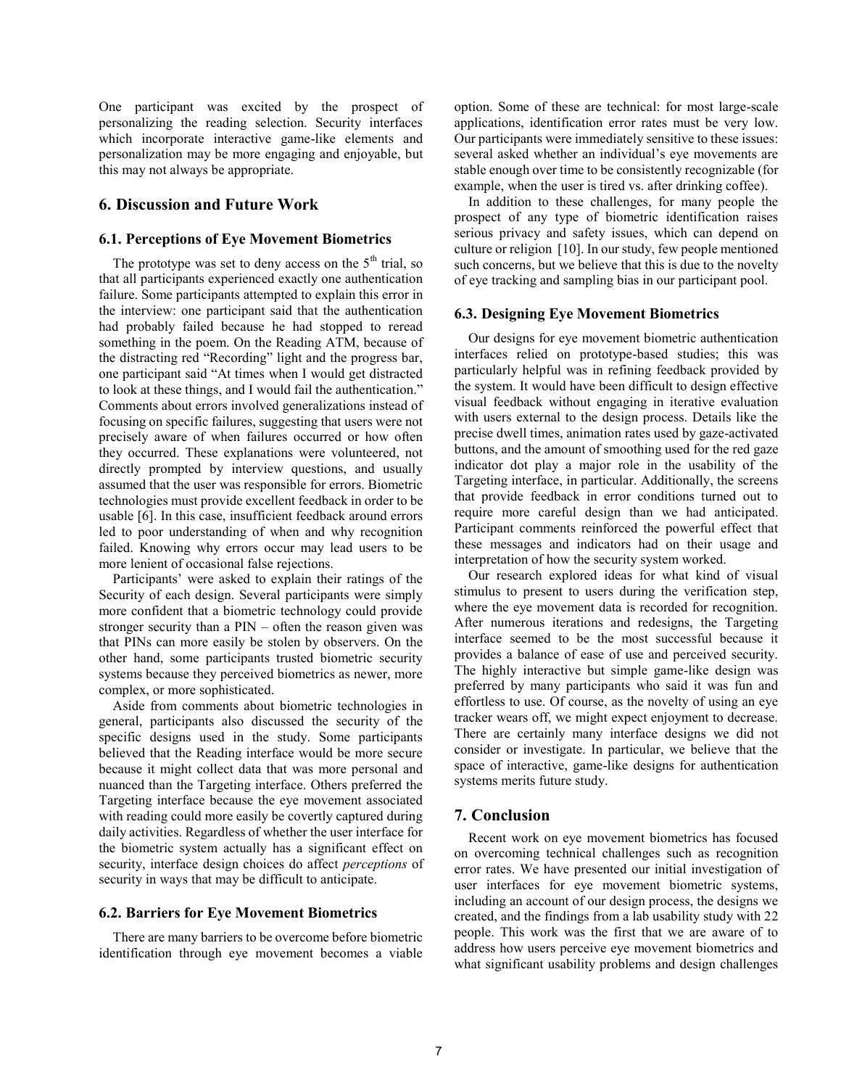One participant was excited by the prospect of personalizing the reading selection. Security interfaces which incorporate interactive game-like elements and personalization may be more engaging and enjoyable, but this may not always be appropriate.

# **6. Discussion and Future Work**

#### **6.1. Perceptions of Eye Movement Biometrics**

The prototype was set to deny access on the  $5<sup>th</sup>$  trial, so that all participants experienced exactly one authentication failure. Some participants attempted to explain this error in the interview: one participant said that the authentication had probably failed because he had stopped to reread something in the poem. On the Reading ATM, because of the distracting red "Recording" light and the progress bar, one participant said "At times when I would get distracted to look at these things, and I would fail the authentication." Comments about errors involved generalizations instead of focusing on specific failures, suggesting that users were not precisely aware of when failures occurred or how often they occurred. These explanations were volunteered, not directly prompted by interview questions, and usually assumed that the user was responsible for errors. Biometric technologies must provide excellent feedback in order to be usable [6]. In this case, insufficient feedback around errors led to poor understanding of when and why recognition failed. Knowing why errors occur may lead users to be more lenient of occasional false rejections.

Participants' were asked to explain their ratings of the Security of each design. Several participants were simply more confident that a biometric technology could provide stronger security than a PIN – often the reason given was that PINs can more easily be stolen by observers. On the other hand, some participants trusted biometric security systems because they perceived biometrics as newer, more complex, or more sophisticated.

Aside from comments about biometric technologies in general, participants also discussed the security of the specific designs used in the study. Some participants believed that the Reading interface would be more secure because it might collect data that was more personal and nuanced than the Targeting interface. Others preferred the Targeting interface because the eye movement associated with reading could more easily be covertly captured during daily activities. Regardless of whether the user interface for the biometric system actually has a significant effect on security, interface design choices do affect *perceptions* of security in ways that may be difficult to anticipate.

#### **6.2. Barriers for Eye Movement Biometrics**

There are many barriers to be overcome before biometric identification through eye movement becomes a viable option. Some of these are technical: for most large-scale applications, identification error rates must be very low. Our participants were immediately sensitive to these issues: several asked whether an individual's eye movements are stable enough over time to be consistently recognizable (for example, when the user is tired vs. after drinking coffee).

In addition to these challenges, for many people the prospect of any type of biometric identification raises serious privacy and safety issues, which can depend on culture or religion [10]. In our study, few people mentioned such concerns, but we believe that this is due to the novelty of eye tracking and sampling bias in our participant pool.

#### **6.3. Designing Eye Movement Biometrics**

Our designs for eye movement biometric authentication interfaces relied on prototype-based studies; this was particularly helpful was in refining feedback provided by the system. It would have been difficult to design effective visual feedback without engaging in iterative evaluation with users external to the design process. Details like the precise dwell times, animation rates used by gaze-activated buttons, and the amount of smoothing used for the red gaze indicator dot play a major role in the usability of the Targeting interface, in particular. Additionally, the screens that provide feedback in error conditions turned out to require more careful design than we had anticipated. Participant comments reinforced the powerful effect that these messages and indicators had on their usage and interpretation of how the security system worked.

Our research explored ideas for what kind of visual stimulus to present to users during the verification step, where the eye movement data is recorded for recognition. After numerous iterations and redesigns, the Targeting interface seemed to be the most successful because it provides a balance of ease of use and perceived security. The highly interactive but simple game-like design was preferred by many participants who said it was fun and effortless to use. Of course, as the novelty of using an eye tracker wears off, we might expect enjoyment to decrease. There are certainly many interface designs we did not consider or investigate. In particular, we believe that the space of interactive, game-like designs for authentication systems merits future study.

# **7. Conclusion**

Recent work on eye movement biometrics has focused on overcoming technical challenges such as recognition error rates. We have presented our initial investigation of user interfaces for eye movement biometric systems, including an account of our design process, the designs we created, and the findings from a lab usability study with 22 people. This work was the first that we are aware of to address how users perceive eye movement biometrics and what significant usability problems and design challenges